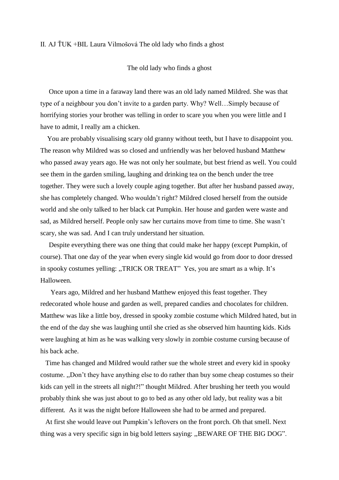## II. AJ ŤUK +BIL Laura Vilmošová The old lady who finds a ghost

The old lady who finds a ghost

 Once upon a time in a faraway land there was an old lady named Mildred. She was that type of a neighbour you don't invite to a garden party. Why? Well…Simply because of horrifying stories your brother was telling in order to scare you when you were little and I have to admit, I really am a chicken.

 You are probably visualising scary old granny without teeth, but I have to disappoint you. The reason why Mildred was so closed and unfriendly was her beloved husband Matthew who passed away years ago. He was not only her soulmate, but best friend as well. You could see them in the garden smiling, laughing and drinking tea on the bench under the tree together. They were such a lovely couple aging together. But after her husband passed away, she has completely changed. Who wouldn't right? Mildred closed herself from the outside world and she only talked to her black cat Pumpkin. Her house and garden were waste and sad, as Mildred herself. People only saw her curtains move from time to time. She wasn't scary, she was sad. And I can truly understand her situation.

 Despite everything there was one thing that could make her happy (except Pumpkin, of course). That one day of the year when every single kid would go from door to door dressed in spooky costumes yelling: ,,TRICK OR TREAT" Yes, you are smart as a whip. It's Halloween.

 Years ago, Mildred and her husband Matthew enjoyed this feast together. They redecorated whole house and garden as well, prepared candies and chocolates for children. Matthew was like a little boy, dressed in spooky zombie costume which Mildred hated, but in the end of the day she was laughing until she cried as she observed him haunting kids. Kids were laughing at him as he was walking very slowly in zombie costume cursing because of his back ache.

 Time has changed and Mildred would rather sue the whole street and every kid in spooky costume. ,,Don't they have anything else to do rather than buy some cheap costumes so their kids can yell in the streets all night?!" thought Mildred. After brushing her teeth you would probably think she was just about to go to bed as any other old lady, but reality was a bit different*.* As it was the night before Halloween she had to be armed and prepared.

 At first she would leave out Pumpkin's leftovers on the front porch. Oh that smell. Next thing was a very specific sign in big bold letters saying: ,,BEWARE OF THE BIG DOG".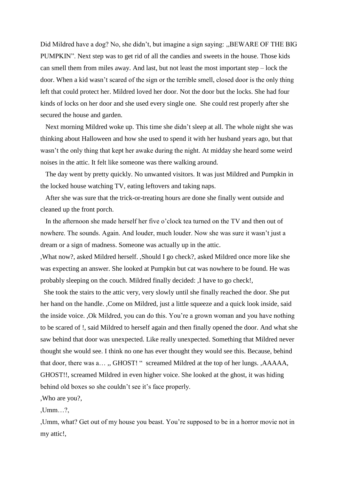Did Mildred have a dog? No, she didn't, but imagine a sign saying: ,,BEWARE OF THE BIG PUMPKIN". Next step was to get rid of all the candies and sweets in the house. Those kids can smell them from miles away. And last, but not least the most important step – lock the door. When a kid wasn't scared of the sign or the terrible smell, closed door is the only thing left that could protect her. Mildred loved her door. Not the door but the locks. She had four kinds of locks on her door and she used every single one. She could rest properly after she secured the house and garden.

 Next morning Mildred woke up. This time she didn't sleep at all. The whole night she was thinking about Halloween and how she used to spend it with her husband years ago, but that wasn't the only thing that kept her awake during the night. At midday she heard some weird noises in the attic. It felt like someone was there walking around.

 The day went by pretty quickly. No unwanted visitors. It was just Mildred and Pumpkin in the locked house watching TV, eating leftovers and taking naps.

 After she was sure that the trick-or-treating hours are done she finally went outside and cleaned up the front porch.

 In the afternoon she made herself her five o'clock tea turned on the TV and then out of nowhere. The sounds. Again. And louder, much louder. Now she was sure it wasn't just a dream or a sign of madness. Someone was actually up in the attic.

,What now?, asked Mildred herself. ,Should I go check?, asked Mildred once more like she was expecting an answer. She looked at Pumpkin but cat was nowhere to be found. He was probably sleeping on the couch. Mildred finally decided: ,I have to go check!,

 She took the stairs to the attic very, very slowly until she finally reached the door*. S*he put her hand on the handle. ,Come on Mildred, just a little squeeze and a quick look inside, said the inside voice. ,Ok Mildred, you can do this. You're a grown woman and you have nothing to be scared of !, said Mildred to herself again and then finally opened the door. And what she saw behind that door was unexpected. Like really unexpected. Something that Mildred never thought she would see. I think no one has ever thought they would see this. Because, behind that door, there was a… ,, GHOST! " screamed Mildred at the top of her lungs*.* ,AAAAA, GHOST!!, screamed Mildred in even higher voice. She looked at the ghost, it was hiding behind old boxes so she couldn't see it's face properly.

,Who are you?,

,Umm…?,

,Umm, what? Get out of my house you beast. You're supposed to be in a horror movie not in my attic!,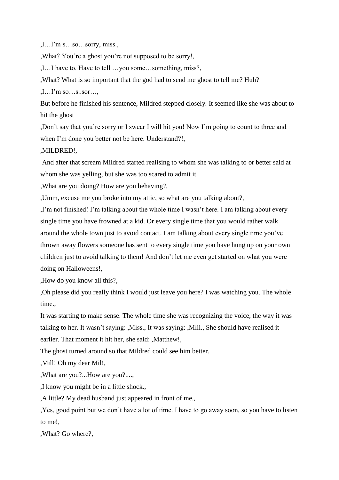,I…I'm s…so…sorry, miss.,

,What? You're a ghost you're not supposed to be sorry!,

,I…I have to. Have to tell …you some…something, miss?,

,What? What is so important that the god had to send me ghost to tell me? Huh?

,I…I'm so…s..sor…,

But before he finished his sentence, Mildred stepped closely*.* It seemed like she was about to hit the ghost

,Don't say that you're sorry or I swear I will hit you! Now I'm going to count to three and when I'm done you better not be here. Understand?!,

,MILDRED!,

And after that scream Mildred started realising to whom she was talking to or better said at whom she was yelling, but she was too scared to admit it.

,What are you doing? How are you behaving?,

,Umm, excuse me you broke into my attic, so what are you talking about?,

,I'm not finished! I'm talking about the whole time I wasn't here. I am talking about every single time you have frowned at a kid. Or every single time that you would rather walk around the whole town just to avoid contact. I am talking about every single time you've thrown away flowers someone has sent to every single time you have hung up on your own children just to avoid talking to them! And don't let me even get started on what you were doing on Halloweens!,

,How do you know all this?,

,Oh please did you really think I would just leave you here? I was watching you. The whole time.,

It was starting to make sense. The whole time she was recognizing the voice, the way it was talking to her. It wasn't saying: ,Miss., It was saying: ,Mill., She should have realised it earlier. That moment it hit her, she said: ,Matthew!,

The ghost turned around so that Mildred could see him better.

,Mill! Oh my dear Mil!,

,What are you?...How are you?....,

,I know you might be in a little shock.,

,A little? My dead husband just appeared in front of me.,

,Yes, good point but we don't have a lot of time. I have to go away soon, so you have to listen to me!,

,What? Go where?,